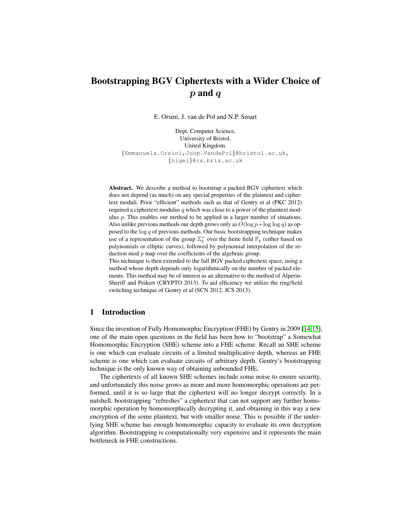# Bootstrapping BGV Ciphertexts with a Wider Choice of p and q

E. Orsini, J. van de Pol and N.P. Smart

Dept. Computer Science, University of Bristol, United Kingdom. {Emmanuela.Orsini,Joop.VandePol}@bristol.ac.uk, {nigel}@cs.bris.ac.uk

Abstract. We describe a method to bootstrap a packed BGV ciphertext which does not depend (as much) on any special properties of the plaintext and ciphertext moduli. Prior "efficient" methods such as that of Gentry et al (PKC 2012) required a ciphertext modulus  $q$  which was close to a power of the plaintext modulus  $p$ . This enables our method to be applied in a larger number of situations. Also unlike previous methods our depth grows only as  $O(\log p + \log \log q)$  as opposed to the  $log q$  of previous methods. Our basic bootstrapping technique makes use of a representation of the group  $\mathbb{Z}_q^+$  over the finite field  $\mathbb{F}_p$  (either based on polynomials or elliptic curves), followed by polynomial interpolation of the reduction mod  $p$  map over the coefficients of the algebraic group.

This technique is then extended to the full BGV packed ciphertext space, using a method whose depth depends only logarithmically on the number of packed elements. This method may be of interest as an alternative to the method of Alperin-Sheriff and Peikert (CRYPTO 2013). To aid efficiency we utilize the ring/field switching technique of Gentry et al (SCN 2012, JCS 2013).

# 1 Introduction

Since the invention of Fully Homomorphic Encryption (FHE) by Gentry in 2009 [\[14,](#page-17-0)[15\]](#page-17-1), one of the main open questions in the field has been how to "bootstrap" a Somewhat Homomorphic Encryption (SHE) scheme into a FHE scheme. Recall an SHE scheme is one which can evaluate circuits of a limited multiplicative depth, whereas an FHE scheme is one which can evaluate circuits of arbitrary depth. Gentry's bootstrapping technique is the only known way of obtaining unbounded FHE.

The ciphertexts of all known SHE schemes include some noise to ensure security, and unfortunately this noise grows as more and more homomorphic operations are performed, until it is so large that the ciphertext will no longer decrypt correctly. In a nutshell, bootstrapping "refreshes" a ciphertext that can not support any further homomorphic operation by homomorphically decrypting it, and obtaining in this way a new encryption of the some plaintext, but with smaller noise. This is possible if the underlying SHE scheme has enough homomorphic capacity to evaluate its own decryption algorithm. Bootstrapping is computationally very expensive and it represents the main bottleneck in FHE constructions.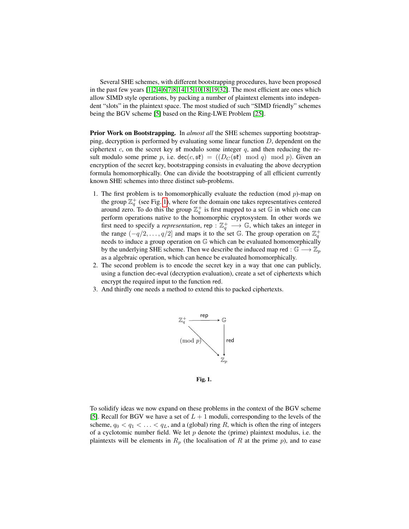Several SHE schemes, with different bootstrapping procedures, have been proposed in the past few years [\[1,](#page-16-0)[2](#page-16-1)[,4](#page-16-2)[,6](#page-16-3)[,7](#page-16-4)[,8](#page-16-5)[,14](#page-17-0)[,15](#page-17-1)[,10,](#page-17-2)[18,](#page-17-3)[19,](#page-17-4)[32\]](#page-18-0). The most efficient are ones which allow SIMD style operations, by packing a number of plaintext elements into independent "slots" in the plaintext space. The most studied of such "SIMD friendly" schemes being the BGV scheme [\[5\]](#page-16-6) based on the Ring-LWE Problem [\[25\]](#page-17-5).

Prior Work on Bootstrapping. In *almost all* the SHE schemes supporting bootstrapping, decryption is performed by evaluating some linear function  $D$ , dependent on the ciphertext c, on the secret key  $\mathfrak{sl}$  modulo some integer q, and then reducing the result modulo some prime p, i.e.  $\text{dec}(c, \mathfrak{se}) = ((D_C(\mathfrak{se}) \mod q) \mod p)$ . Given an encryption of the secret key, bootstrapping consists in evaluating the above decryption formula homomorphically. One can divide the bootstrapping of all efficient currently known SHE schemes into three distinct sub-problems.

- 1. The first problem is to homomorphically evaluate the reduction (mod  $p$ )-map on the group  $\mathbb{Z}_q^+$  (see Fig. [1\)](#page-1-0), where for the domain one takes representatives centered around zero. To do this the group  $\mathbb{Z}_q^+$  is first mapped to a set  $\mathbb G$  in which one can perform operations native to the homomorphic cryptosystem. In other words we first need to specify a *representation*, rep :  $\mathbb{Z}_q^+$   $\longrightarrow$  G, which takes an integer in the range  $(-q/2, \ldots, q/2]$  and maps it to the set  $\mathbb{G}$ . The group operation on  $\mathbb{Z}_q^+$ needs to induce a group operation on G which can be evaluated homomorphically by the underlying SHE scheme. Then we describe the induced map red :  $\mathbb{G} \longrightarrow \mathbb{Z}_p$ as a algebraic operation, which can hence be evaluated homomorphically.
- 2. The second problem is to encode the secret key in a way that one can publicly, using a function dec-eval (decryption evaluation), create a set of ciphertexts which encrypt the required input to the function red.
- 3. And thirdly one needs a method to extend this to packed ciphertexts.



<span id="page-1-0"></span>Fig. 1.

To solidify ideas we now expand on these problems in the context of the BGV scheme [\[5\]](#page-16-6). Recall for BGV we have a set of  $L + 1$  moduli, corresponding to the levels of the scheme,  $q_0 < q_1 < \ldots < q_L$ , and a (global) ring R, which is often the ring of integers of a cyclotomic number field. We let  $p$  denote the (prime) plaintext modulus, i.e. the plaintexts will be elements in  $R_p$  (the localisation of R at the prime p), and to ease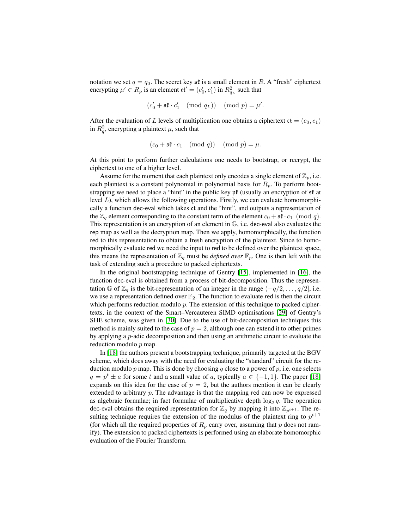notation we set  $q = q_0$ . The secret key  $\mathfrak{se}$ t is a small element in R. A "fresh" ciphertext encrypting  $\mu' \in R_p$  is an element  $\mathfrak{ct}' = (c'_0, c'_1)$  in  $R_{q_L}^2$  such that

$$
(c'_0 + \mathfrak{s} \mathfrak{k} \cdot c'_1 \pmod{q_L}) \pmod{p} = \mu'.
$$

After the evaluation of L levels of multiplication one obtains a ciphertext  $ct = (c_0, c_1)$ in  $R_q^2$ , encrypting a plaintext  $\mu$ , such that

$$
(c_0 + \mathfrak{s}\mathfrak{k} \cdot c_1 \pmod{q}
$$
 (mod  $p$ ) =  $\mu$ .

At this point to perform further calculations one needs to bootstrap, or recrypt, the ciphertext to one of a higher level.

Assume for the moment that each plaintext only encodes a single element of  $\mathbb{Z}_p$ , i.e. each plaintext is a constant polynomial in polynomial basis for  $R_p$ . To perform bootstrapping we need to place a "hint" in the public key  $\mathfrak{pk}$  (usually an encryption of  $\mathfrak{sk}$  at level L), which allows the following operations. Firstly, we can evaluate homomorphically a function dec-eval which takes ct and the "hint", and outputs a representation of the  $\mathbb{Z}_q$  element corresponding to the constant term of the element  $c_0 + \mathfrak{se} \cdot c_1 \pmod{q}$ . This representation is an encryption of an element in G, i.e. dec-eval also evaluates the rep map as well as the decryption map. Then we apply, homomorphically, the function red to this representation to obtain a fresh encryption of the plaintext. Since to homomorphically evaluate red we need the input to red to be defined over the plaintext space, this means the representation of  $\mathbb{Z}_q$  must be *defined over*  $\mathbb{F}_p$ . One is then left with the task of extending such a procedure to packed ciphertexts.

In the original bootstrapping technique of Gentry [\[15\]](#page-17-1), implemented in [\[16\]](#page-17-6), the function dec-eval is obtained from a process of bit-decomposition. Thus the representation G of  $\mathbb{Z}_q$  is the bit-representation of an integer in the range  $(-q/2, \ldots, q/2]$ , i.e. we use a representation defined over  $\mathbb{F}_2$ . The function to evaluate red is then the circuit which performs reduction modulo  $p$ . The extension of this technique to packed ciphertexts, in the context of the Smart–Vercauteren SIMD optimisations [\[29\]](#page-17-7) of Gentry's SHE scheme, was given in [\[30\]](#page-18-1). Due to the use of bit-decomposition techniques this method is mainly suited to the case of  $p = 2$ , although one can extend it to other primes by applying a p-adic decomposition and then using an arithmetic circuit to evaluate the reduction modulo  $p$  map.

In [\[18\]](#page-17-3) the authors present a bootstrapping technique, primarily targeted at the BGV scheme, which does away with the need for evaluating the "standard" circuit for the reduction modulo p map. This is done by choosing q close to a power of p, i.e. one selects  $q = p<sup>t</sup> \pm a$  for some t and a small value of a, typically  $a \in \{-1, 1\}$ . The paper [\[18\]](#page-17-3) expands on this idea for the case of  $p = 2$ , but the authors mention it can be clearly extended to arbitrary p. The advantage is that the mapping red can now be expressed as algebraic formulae; in fact formulae of multiplicative depth  $\log_2 q$ . The operation dec-eval obtains the required representation for  $\mathbb{Z}_q$  by mapping it into  $\mathbb{Z}_{p^{t+1}}$ . The resulting technique requires the extension of the modulus of the plaintext ring to  $p^{t+1}$ (for which all the required properties of  $R_p$  carry over, assuming that p does not ramify). The extension to packed ciphertexts is performed using an elaborate homomorphic evaluation of the Fourier Transform.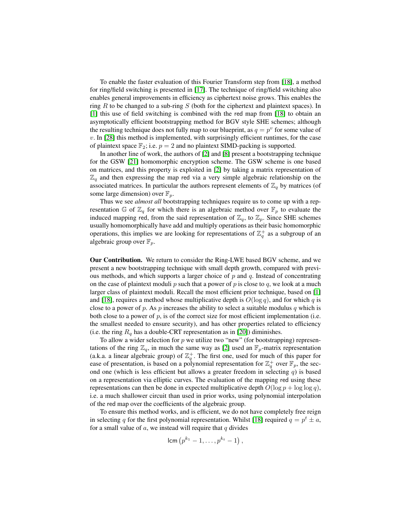To enable the faster evaluation of this Fourier Transform step from [\[18\]](#page-17-3), a method for ring/field switching is presented in [\[17\]](#page-17-8). The technique of ring/field switching also enables general improvements in efficiency as ciphertext noise grows. This enables the ring  $R$  to be changed to a sub-ring  $S$  (both for the ciphertext and plaintext spaces). In [\[1\]](#page-16-0) this use of field switching is combined with the red map from [\[18\]](#page-17-3) to obtain an asymptotically efficient bootstrapping method for BGV style SHE schemes; although the resulting technique does not fully map to our blueprint, as  $q = p^v$  for some value of  $v$ . In [\[28\]](#page-17-9) this method is implemented, with surprisingly efficient runtimes, for the case of plaintext space  $\mathbb{F}_2$ ; i.e.  $p = 2$  and no plaintext SIMD-packing is supported.

In another line of work, the authors of [\[2\]](#page-16-1) and [\[8\]](#page-16-5) present a bootstrapping technique for the GSW [\[21\]](#page-17-10) homomorphic encryption scheme. The GSW scheme is one based on matrices, and this property is exploited in [\[2\]](#page-16-1) by taking a matrix representation of  $\mathbb{Z}_q$  and then expressing the map red via a very simple algebraic relationship on the associated matrices. In particular the authors represent elements of  $\mathbb{Z}_q$  by matrices (of some large dimension) over  $\mathbb{F}_p$ .

Thus we see *almost all* bootstrapping techniques require us to come up with a representation G of  $\mathbb{Z}_q$  for which there is an algebraic method over  $\mathbb{F}_p$  to evaluate the induced mapping red, from the said representation of  $\mathbb{Z}_q$ , to  $\mathbb{Z}_p$ . Since SHE schemes usually homomorphically have add and multiply operations as their basic homomorphic operations, this implies we are looking for representations of  $\mathbb{Z}_q^+$  as a subgroup of an algebraic group over  $\mathbb{F}_p$ .

Our Contribution. We return to consider the Ring-LWE based BGV scheme, and we present a new bootstrapping technique with small depth growth, compared with previous methods, and which supports a larger choice of  $p$  and  $q$ . Instead of concentrating on the case of plaintext moduli p such that a power of p is close to q, we look at a much larger class of plaintext moduli. Recall the most efficient prior technique, based on [\[1\]](#page-16-0) and [\[18\]](#page-17-3), requires a method whose multiplicative depth is  $O(\log q)$ , and for which q is close to a power of p. As p increases the ability to select a suitable modulus q which is both close to a power of  $p$ , is of the correct size for most efficient implementation (i.e. the smallest needed to ensure security), and has other properties related to efficiency (i.e. the ring  $R_q$  has a double-CRT representation as in [\[20\]](#page-17-11)) diminishes.

To allow a wider selection for p we utilize two "new" (for bootstrapping) representations of the ring  $\mathbb{Z}_q$ , in much the same way as [\[2\]](#page-16-1) used an  $\mathbb{F}_p$ -matrix representation (a.k.a. a linear algebraic group) of  $\mathbb{Z}_q^+$ . The first one, used for much of this paper for ease of presentation, is based on a polynomial representation for  $\mathbb{Z}_q^+$  over  $\mathbb{F}_p$ , the second one (which is less efficient but allows a greater freedom in selecting  $q$ ) is based on a representation via elliptic curves. The evaluation of the mapping red using these representations can then be done in expected multiplicative depth  $O(\log p + \log \log q)$ , i.e. a much shallower circuit than used in prior works, using polynomial interpolation of the red map over the coefficients of the algebraic group.

To ensure this method works, and is efficient, we do not have completely free reign in selecting q for the first polynomial representation. Whilst [\[18\]](#page-17-3) required  $q = p^t \pm a$ , for a small value of  $a$ , we instead will require that  $q$  divides

$$
\text{lcm} (p^{k_1} - 1, \ldots, p^{k_t} - 1)
$$
,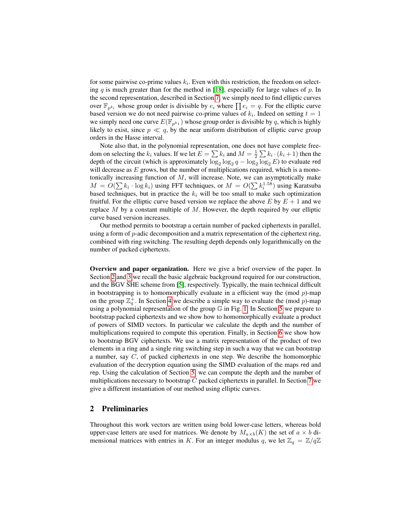for some pairwise co-prime values  $k_i$ . Even with this restriction, the freedom on select-ing q is much greater than for the method in [\[18\]](#page-17-3), especially for large values of p. In the second representation, described in Section [7,](#page-14-0) we simply need to find elliptic curves over  $\mathbb{F}_{p^{k_i}}$  whose group order is divisible by  $e_i$  where  $\prod e_i = q$ . For the elliptic curve based version we do not need pairwise co-prime values of  $k_i$ . Indeed on setting  $t = 1$ we simply need one curve  $E(\mathbb{F}_{p^{k_1}})$  whose group order is divisible by q, which is highly likely to exist, since  $p \ll q$ , by the near uniform distribution of elliptic curve group orders in the Hasse interval.

Note also that, in the polynomial representation, one does not have complete freedom on selecting the  $k_i$  values. If we let  $E = \sum k_i$  and  $M = \frac{1}{2} \sum k_i \cdot (k_i + 1)$  then the depth of the circuit (which is approximately  $\log_2 \log_2 q - \log_2 \log_2 E$ ) to evaluate red will decrease as  $E$  grows, but the number of multiplications required, which is a monotonically increasing function of  $M$ , will increase. Note, we can asymptotically make  $M = O(\sum k_i \cdot \log k_i)$  using FFT techniques, or  $M = O(\sum k_i^{1.58})$  using Karatsuba based techniques, but in practice the  $k_i$  will be too small to make such optimization fruitful. For the elliptic curve based version we replace the above  $E$  by  $E + 1$  and we replace  $M$  by a constant multiple of  $M$ . However, the depth required by our elliptic curve based version increases.

Our method permits to bootstrap a certain number of packed ciphertexts in parallel, using a form of  $p$ -adic decomposition and a matrix representation of the ciphertext ring, combined with ring switching. The resulting depth depends only logarithmically on the number of packed ciphertexts.

Overview and paper organization. Here we give a brief overview of the paper. In Section [2](#page-4-0) and [3](#page-7-0) we recall the basic algebraic background required for our construction, and the BGV SHE scheme from [\[5\]](#page-16-6), respectively. Typically, the main technical difficult in bootstrapping is to homomorphically evaluate in a efficient way the (mod  $p$ )-map on the group  $\mathbb{Z}_q^+$ . In Section [4](#page-8-0) we describe a simple way to evaluate the (mod p)-map using a polynomial representation of the group G in Fig. [1.](#page-1-0) In Section [5](#page-9-0) we prepare to bootstrap packed ciphertexts and we show how to homomorphically evaluate a product of powers of SIMD vectors. In particular we calculate the depth and the number of multiplications required to compute this operation. Finally, in Section [6](#page-11-0) we show how to bootstrap BGV ciphertexts. We use a matrix representation of the product of two elements in a ring and a single ring switching step in such a way that we can bootstrap a number, say C, of packed ciphertexts in one step. We describe the homomorphic evaluation of the decryption equation using the SIMD evaluation of the maps red and rep. Using the calculation of Section [5,](#page-9-0) we can compute the depth and the number of multiplications necessary to bootstrap C packed ciphertexts in parallel. In Section [7](#page-14-0) we give a different instantiation of our method using elliptic curves.

## <span id="page-4-0"></span>2 Preliminaries

Throughout this work vectors are written using bold lower-case letters, whereas bold upper-case letters are used for matrices. We denote by  $M_{a \times b}(K)$  the set of  $a \times b$  dimensional matrices with entries in K. For an integer modulus q, we let  $\mathbb{Z}_q = \mathbb{Z}/q\mathbb{Z}$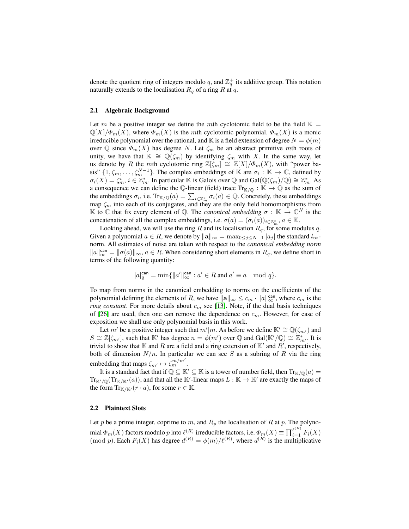denote the quotient ring of integers modulo q, and  $\mathbb{Z}_q^+$  its additive group. This notation naturally extends to the localisation  $R_q$  of a ring R at q.

#### 2.1 Algebraic Background

Let m be a positive integer we define the mth cyclotomic field to be the field  $\mathbb{K} =$  $\mathbb{Q}[X]/\Phi_m(X)$ , where  $\Phi_m(X)$  is the mth cyclotomic polynomial.  $\Phi_m(X)$  is a monic irreducible polynomial over the rational, and K is a field extension of degree  $N = \phi(m)$ over  $\mathbb Q$  since  $\Phi_m(X)$  has degree N. Let  $\zeta_m$  be an abstract primitive mth roots of unity, we have that  $\mathbb{K} \cong \mathbb{Q}(\zeta_m)$  by identifying  $\zeta_m$  with X. In the same way, let us denote by R the mth cyclotomic ring  $\mathbb{Z}[\zeta_m] \cong \mathbb{Z}[X]/\Phi_m(X)$ , with "power basis"  $\{1, \zeta_m, \ldots, \zeta_m^{N-1}\}$ . The complex embeddings of K are  $\sigma_i : \mathbb{K} \to \mathbb{C}$ , defined by  $\sigma_i(X) = \zeta_m^i$ ,  $i \in \mathbb{Z}_m^*$ . In particular K is Galois over Q and  $Gal(\mathbb{Q}(\zeta_m)/\mathbb{Q}) \cong \mathbb{Z}_m^*$ . As a consequence we can define the Q-linear (field) trace  $\text{Tr}_{\mathbb{K}/\mathbb{Q}} : \mathbb{K} \to \mathbb{Q}$  as the sum of the embeddings  $\sigma_i$ , i.e.  $\text{Tr}_{\mathbb{K}/\mathbb{Q}}(a) = \sum_{i \in \mathbb{Z}_m^*} \sigma_i(a) \in \mathbb{Q}$ . Concretely, these embeddings map  $\zeta_m$  into each of its conjugates, and they are the only field homomorphisms from K to  $\mathbb C$  that fix every element of Q. The *canonical embedding*  $\sigma : \mathbb K \to \mathbb C^N$  is the concatenation of all the complex embeddings, i.e.  $\sigma(a) = (\sigma_i(a))_{i \in \mathbb{Z}_m^*}$ ,  $a \in \mathbb{K}$ .

Looking ahead, we will use the ring R and its localisation  $R_q$ , for some modulus q. Given a polynomial  $a \in R$ , we denote by  $\|\mathbf{a}\|_{\infty} = \max_{0 \leq j \leq N-1} |a_j|$  the standard  $l_{\infty}$ norm. All estimates of noise are taken with respect to the *canonical embedding norm*  $||a||_{\infty}^{\text{can}} = ||\sigma(a)||_{\infty}$ ,  $a \in R$ . When considering short elements in  $R_q$ , we define short in terms of the following quantity:

$$
|a|_q^{\text{can}} = \min\{||a'||_{\infty}^{\text{can}} : a' \in R \text{ and } a' \equiv a \mod q\}.
$$

To map from norms in the canonical embedding to norms on the coefficients of the polynomial defining the elements of R, we have  $\|\mathbf{a}\|_{\infty} \leq c_m \cdot \|a\|_{\infty}^{\text{can}}$ , where  $c_m$  is the *ring constant*. For more details about  $c_m$  see [\[13\]](#page-17-12). Note, if the dual basis techniques of [\[26\]](#page-17-13) are used, then one can remove the dependence on  $c_m$ . However, for ease of exposition we shall use only polynomial basis in this work.

Let m' be a positive integer such that  $m'|m$ . As before we define  $\mathbb{K}' \cong \mathbb{Q}(\zeta_{m'})$  and  $S \cong \mathbb{Z}[\zeta_{m'}],$  such that  $\mathbb{K}'$  has degree  $n = \phi(m')$  over  $\mathbb{Q}$  and  $Gal(\mathbb{K}'/\mathbb{Q}) \cong \mathbb{Z}_{m'}^*$ . It is trivial to show that K and R are a field and a ring extension of K' and R', respectively, both of dimension  $N/n$ . In particular we can see S as a subring of R via the ring embedding that maps  $\zeta_{m'} \mapsto \zeta_{m}^{m'm'}.$ 

It is a standard fact that if  $\mathbb{Q} \subseteq \mathbb{K}' \subseteq \mathbb{K}$  is a tower of number field, then  $\text{Tr}_{\mathbb{K}/\mathbb{Q}}(a) =$  $\text{Tr}_{\mathbb{K}'/\mathbb{Q}}(\text{Tr}_{\mathbb{K}/\mathbb{K}'}(a))$ , and that all the  $\mathbb{K}'$ -linear maps  $L : \mathbb{K} \to \mathbb{K}'$  are exactly the maps of the form  $\mathrm{Tr}_{\mathbb{K}/\mathbb{K}'}(r \cdot a)$ , for some  $r \in \mathbb{K}$ .

#### 2.2 Plaintext Slots

Let p be a prime integer, coprime to m, and  $R_p$  the localisation of R at p. The polynomial  $\Phi_m(X)$  factors modulo p into  $\ell^{(R)}$  irreducible factors, i.e.  $\Phi_m(X) \equiv \prod_{i=1}^{\ell^{(R)}} F_i(X)$ (mod p). Each  $F_i(X)$  has degree  $d^{(R)} = \phi(m)/\ell^{(R)}$ , where  $d^{(R)}$  is the multiplicative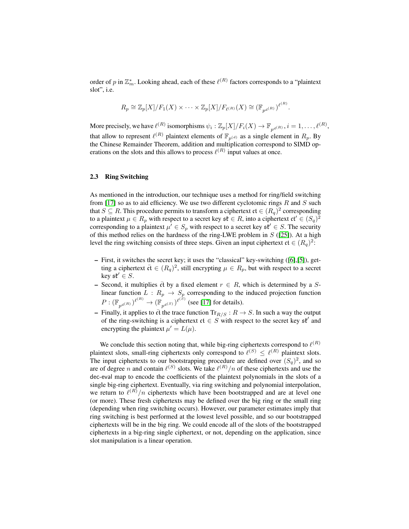order of p in  $\mathbb{Z}_m^*$ . Looking ahead, each of these  $\ell^{(R)}$  factors corresponds to a "plaintext slot", i.e.

$$
R_p \cong \mathbb{Z}_p[X]/F_1(X) \times \cdots \times \mathbb{Z}_p[X]/F_{\ell^{(R)}}(X) \cong (\mathbb{F}_{p^{d(R)}})^{\ell^{(R)}}.
$$

More precisely, we have  $\ell^{(R)}$  isomorphisms  $\psi_i : \mathbb{Z}_p[X]/F_i(X) \to \mathbb{F}_{p^{d(R)}}$ ,  $i = 1, \ldots, \ell^{(R)},$ that allow to represent  $\ell^{(R)}$  plaintext elements of  $\mathbb{F}_{p^{(d)}}$  as a single element in  $R_p$ . By the Chinese Remainder Theorem, addition and multiplication correspond to SIMD operations on the slots and this allows to process  $\ell^{(R)}$  input values at once.

#### 2.3 Ring Switching

As mentioned in the introduction, our technique uses a method for ring/field switching from [\[17\]](#page-17-8) so as to aid efficiency. We use two different cyclotomic rings  $R$  and  $S$  such that  $S \subseteq R$ . This procedure permits to transform a ciphertext  $ct \in (R_q)^2$  corresponding to a plaintext  $\mu \in R_p$  with respect to a secret key  $\mathfrak{se} \in R$ , into a ciphertext  $\mathfrak{e} \mathfrak{t}' \in (S_q)^2$ corresponding to a plaintext  $\mu' \in S_p$  with respect to a secret key  $\mathfrak{se}(\ell') \in S$ . The security of this method relies on the hardness of the ring-LWE problem in  $S$  ([\[25\]](#page-17-5)). At a high level the ring switching consists of three steps. Given an input ciphertext  $ct \in (R_q)^2$ :

- First, it switches the secret key; it uses the "classical" key-switching ([\[6\]](#page-16-3),[\[5\]](#page-16-6)), getting a ciphertext  $\bar{\mathfrak{c}} \in (R_q)^2$ , still encrypting  $\mu \in R_p$ , but with respect to a secret key  $\mathfrak{s}\mathfrak{k}' \in S$ .
- Second, it multiplies  $\bar{\mathfrak{c}}$ t by a fixed element  $r \in R$ , which is determined by a Slinear function  $L: R_p \to S_p$  corresponding to the induced projection function  $P: (\mathbb{F}_{p^{d(R)}})^{\ell^{(R)}} \to (\mathbb{F}_{p^{d(S)}})^{\ell^{(S)}}$  (see [\[17\]](#page-17-8) for details).
- Finally, it applies to  $\bar{\mathfrak{c}}\mathfrak{t}$  the trace function  $\text{Tr}_{R/S} : R \to S$ . In such a way the output of the ring-switching is a ciphertext  $ct \in S$  with respect to the secret key  $sf'$  and encrypting the plaintext  $\mu' = L(\mu)$ .

We conclude this section noting that, while big-ring ciphertexts correspond to  $\ell^{(R)}$ plaintext slots, small-ring ciphertexts only correspond to  $\ell^{(S)} \leq \ell^{(R)}$  plaintext slots. The input ciphertexts to our bootstrapping procedure are defined over  $(S_q)^2$ , and so are of degree n and contain  $\ell^{(S)}$  slots. We take  $\ell^{(R)}/n$  of these ciphertexts and use the dec-eval map to encode the coefficients of the plaintext polynomials in the slots of a single big-ring ciphertext. Eventually, via ring switching and polynomial interpolation, we return to  $\ell^{(R)}/n$  ciphertexts which have been bootstrapped and are at level one (or more). These fresh ciphertexts may be defined over the big ring or the small ring (depending when ring switching occurs). However, our parameter estimates imply that ring switching is best performed at the lowest level possible, and so our bootstrapped ciphertexts will be in the big ring. We could encode all of the slots of the bootstrapped ciphertexts in a big-ring single ciphertext, or not, depending on the application, since slot manipulation is a linear operation.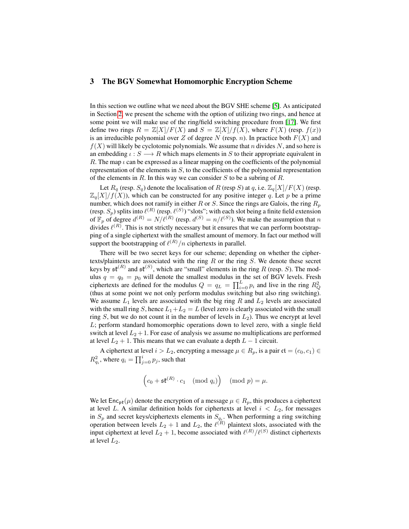# <span id="page-7-0"></span>3 The BGV Somewhat Homomorphic Encryption Scheme

In this section we outline what we need about the BGV SHE scheme [\[5\]](#page-16-6). As anticipated in Section [2,](#page-4-0) we present the scheme with the option of utilizing two rings, and hence at some point we will make use of the ring/field switching procedure from [\[17\]](#page-17-8). We first define two rings  $R = \mathbb{Z}[X]/F(X)$  and  $S = \mathbb{Z}[X]/f(X)$ , where  $F(X)$  (resp.  $f(x)$ ) is an irreducible polynomial over Z of degree N (resp. n). In practice both  $F(X)$  and  $f(X)$  will likely be cyclotomic polynomials. We assume that n divides N, and so here is an embedding  $\iota : S \longrightarrow R$  which maps elements in S to their appropriate equivalent in R. The map  $\iota$  can be expressed as a linear mapping on the coefficients of the polynomial representation of the elements in  $S$ , to the coefficients of the polynomial representation of the elements in R. In this way we can consider S to be a subring of R.

Let  $R_q$  (resp.  $S_q$ ) denote the localisation of R (resp S) at q, i.e.  $\mathbb{Z}_q[X]/F(X)$  (resp.  $\mathbb{Z}_q[X]/f(X)$ , which can be constructed for any positive integer q. Let p be a prime number, which does not ramify in either R or S. Since the rings are Galois, the ring  $R_p$ (resp.  $S_p$ ) splits into  $\ell^{(R)}$  (resp.  $\ell^{(S)}$ ) "slots"; with each slot being a finite field extension of  $\mathbb{F}_p$  of degree  $d^{(R)} = N/\ell^{(R)}$  (resp.  $d^{(S)} = n/\ell^{(S)}$ ). We make the assumption that n divides  $\ell^{(R)}$ . This is not strictly necessary but it ensures that we can perform bootstrapping of a single ciphertext with the smallest amount of memory. In fact our method will support the bootstrapping of  $\ell^{(R)}/n$  ciphertexts in parallel.

There will be two secret keys for our scheme; depending on whether the ciphertexts/plaintexts are associated with the ring  $R$  or the ring  $S$ . We denote these secret keys by  $\mathfrak{st}^{(R)}$  and  $\mathfrak{st}^{(S)}$ , which are "small" elements in the ring R (resp. S). The modulus  $q = q_0 = p_0$  will denote the smallest modulus in the set of BGV levels. Fresh ciphertexts are defined for the modulus  $Q = q_L = \prod_{i=0}^{L} p_i$  and live in the ring  $R_Q^2$ (thus at some point we not only perform modulus switching but also ring switching). We assume  $L_1$  levels are associated with the big ring R and  $L_2$  levels are associated with the small ring S, hence  $L_1 + L_2 = L$  (level zero is clearly associated with the small ring S, but we do not count it in the number of levels in  $L_2$ ). Thus we encrypt at level L; perform standard homomorphic operations down to level zero, with a single field switch at level  $L_2 + 1$ . For ease of analysis we assume no multiplications are performed at level  $L_2 + 1$ . This means that we can evaluate a depth  $L - 1$  circuit.

A ciphertext at level  $i > L_2$ , encrypting a message  $\mu \in R_p$ , is a pair  $\mathfrak{ct} = (c_0, c_1) \in R$  $R_{q_i}^2$ , where  $q_i = \prod_{j=0}^i p_j$ , such that

$$
(c_0 + \mathfrak{s} \mathfrak{k}^{(R)} \cdot c_1 \pmod{q_i} \pmod{p} = \mu.
$$

We let  $\mathsf{Enc}_{\mathfrak{p}\mathfrak{k}}(\mu)$  denote the encryption of a message  $\mu \in R_p$ , this produces a ciphertext at level L. A similar definition holds for ciphertexts at level  $i < L_2$ , for messages in  $S_p$  and secret keys/ciphertexts elements in  $S_{q_i}$ . When performing a ring switching operation between levels  $L_2 + 1$  and  $L_2$ , the  $\ell^{(R)}$  plaintext slots, associated with the input ciphertext at level  $L_2 + 1$ , become associated with  $\ell^{(R)}/\ell^{(S)}$  distinct ciphertexts at level  $L_2$ .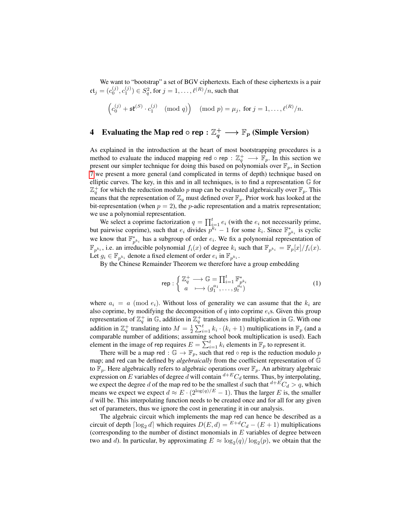We want to "bootstrap" a set of BGV ciphertexts. Each of these ciphertexts is a pair  $\mathfrak{ct}_j = (c_0^{(j)}, c_1^{(j)}) \in S_q^2$ , for  $j = 1, \dots, \ell^{(R)}/n$ , such that

$$
\left(c_0^{(j)} + \mathfrak{s} \mathfrak{k}^{(S)} \cdot c_1^{(j)} \pmod{q}\right) \pmod{p} = \mu_j, \text{ for } j = 1, \dots, \ell^{(R)}/n.
$$

# <span id="page-8-0"></span>4 Evaluating the Map red  $\circ$  rep  $: \mathbb{Z}^{+}_{q} \longrightarrow \mathbb{F}_p$  (Simple Version)

As explained in the introduction at the heart of most bootstrapping procedures is a method to evaluate the induced mapping red  $\circ$  rep :  $\mathbb{Z}_q^+ \longrightarrow \mathbb{F}_p$ . In this section we present our simpler technique for doing this based on polynomials over  $\mathbb{F}_p$ , in Section [7](#page-14-0) we present a more general (and complicated in terms of depth) technique based on elliptic curves. The key, in this and in all techniques, is to find a representation  $\mathbb G$  for  $\mathbb{Z}_q^+$  for which the reduction modulo p map can be evaluated algebraically over  $\mathbb{F}_p$ . This means that the representation of  $\mathbb{Z}_q$  must defined over  $\mathbb{F}_p$ . Prior work has looked at the bit-representation (when  $p = 2$ ), the *p*-adic representation and a matrix representation; we use a polynomial representation.

We select a coprime factorization  $q = \prod_{i=1}^{t} e_i$  (with the  $e_i$  not necessarily prime, but pairwise coprime), such that  $e_i$  divides  $p^{k_i} - 1$  for some  $k_i$ . Since  $\mathbb{F}_{p^{k_i}}^*$  is cyclic we know that  $\mathbb{F}_{p^{k_i}}^*$  has a subgroup of order  $e_i$ . We fix a polynomial representation of  $\mathbb{F}_{p^{k_i}}$ , i.e. an irreducible polynomial  $f_i(x)$  of degree  $k_i$  such that  $\mathbb{F}_{p^{k_i}} = \mathbb{F}_p[x]/f_i(x)$ . Let  $g_i \in \mathbb{F}_{p^{k_i}}$  denote a fixed element of order  $e_i$  in  $\mathbb{F}_{p^{k_i}}$ .

By the Chinese Remainder Theorem we therefore have a group embedding

<span id="page-8-1"></span>
$$
\mathsf{rep}: \left\{ \begin{array}{c} \mathbb{Z}_q^+ \longrightarrow \mathbb{G} = \prod_{i=1}^t \mathbb{F}_{p^{k_i}}^* \\ a \longmapsto (g_1^{a_1}, \dots, g_t^{a_t}) \end{array} \right. \tag{1}
$$

where  $a_i = a \pmod{e_i}$ . Without loss of generality we can assume that the  $k_i$  are also coprime, by modifying the decomposition of  $q$  into coprime  $e_i$ s. Given this group representation of  $\mathbb{Z}_q^+$  in G, addition in  $\mathbb{Z}_q^+$  translates into multiplication in G. With one addition in  $\mathbb{Z}_q^+$  translating into  $M = \frac{1}{2} \sum_{i=1}^t k_i \cdot (k_i + 1)$  multiplications in  $\mathbb{F}_p$  (and a comparable number of additions; assuming school book multiplication is used). Each element in the image of rep requires  $E = \sum_{i=1}^{t} k_i$  elements in  $\mathbb{F}_p$  to represent it.

There will be a map red :  $\mathbb{G} \to \mathbb{F}_p$ , such that red  $\circ$  rep is the reduction modulo p map; and red can be defined by *algebraically* from the coefficient representation of G to  $\mathbb{F}_p$ . Here algebraically refers to algebraic operations over  $\mathbb{F}_p$ . An arbitrary algebraic expression on E variables of degree d will contain  $d + EC_d$  terms. Thus, by interpolating, we expect the degree d of the map red to be the smallest d such that  $d + EC_d > q$ , which means we expect we expect  $d \approx E \cdot (2^{\log(q)/E} - 1)$ . Thus the larger E is, the smaller  $d$  will be. This interpolating function needs to be created once and for all for any given set of parameters, thus we ignore the cost in generating it in our analysis.

The algebraic circuit which implements the map red can hence be described as a circuit of depth  $\lceil \log_2 d \rceil$  which requires  $D(E, d) = {}^{E+d}C_d - (E + 1)$  multiplications (corresponding to the number of distinct monomials in  $E$  variables of degree between two and d). In particular, by approximating  $E \approx \log_2(q)/\log_2(p)$ , we obtain that the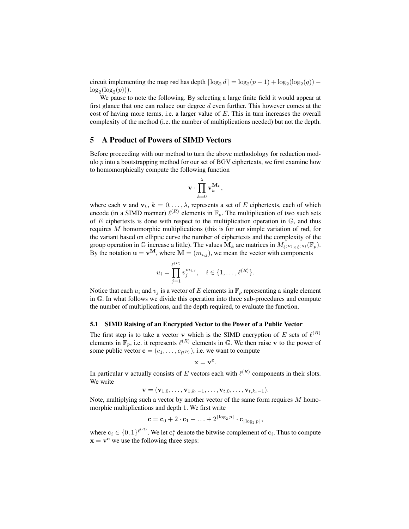circuit implementing the map red has depth  $\lceil \log_2 d \rceil = \log_2(p-1) + \log_2(\log_2(q))$  –  $log_2(log_2(p))$ ).

We pause to note the following. By selecting a large finite field it would appear at first glance that one can reduce our degree  $d$  even further. This however comes at the cost of having more terms, i.e. a larger value of E. This in turn increases the overall complexity of the method (i.e. the number of multiplications needed) but not the depth.

#### <span id="page-9-0"></span>5 A Product of Powers of SIMD Vectors

Before proceeding with our method to turn the above methodology for reduction modulo  $p$  into a bootstrapping method for our set of BGV ciphertexts, we first examine how to homomorphically compute the following function

$$
\mathbf{v}\cdot\prod_{k=0}^{\lambda}\mathbf{v}_k^{\mathbf{M}_k},
$$

where each v and  $v_k$ ,  $k = 0, \ldots, \lambda$ , represents a set of E ciphertexts, each of which encode (in a SIMD manner)  $\ell^{(R)}$  elements in  $\mathbb{F}_p$ . The multiplication of two such sets of  $E$  ciphertexts is done with respect to the multiplication operation in  $\mathbb{G}$ , and thus requires  $M$  homomorphic multiplications (this is for our simple variation of red, for the variant based on elliptic curve the number of ciphertexts and the complexity of the group operation in G increase a little). The values  $\mathbf{M}_k$  are matrices in  $M_{\ell^{(R)}\times \ell^{(R)}}(\mathbb{F}_p)$ . By the notation  $\mathbf{u} = \mathbf{v}^{\mathbf{M}}$ , where  $\mathbf{M} = (m_{i,j})$ , we mean the vector with components

$$
u_i = \prod_{j=1}^{\ell^{(R)}} v_j^{m_{i,j}}, \quad i \in \{1, \ldots, \ell^{(R)}\}.
$$

Notice that each  $u_i$  and  $v_j$  is a vector of E elements in  $\mathbb{F}_p$  representing a single element in G. In what follows we divide this operation into three sub-procedures and compute the number of multiplications, and the depth required, to evaluate the function.

#### <span id="page-9-1"></span>5.1 SIMD Raising of an Encrypted Vector to the Power of a Public Vector

 $(2n)$ 

The first step is to take a vector v which is the SIMD encryption of E sets of  $\ell^{(R)}$ elements in  $\mathbb{F}_p$ , i.e. it represents  $\ell^{(R)}$  elements in G. We then raise v to the power of some public vector  $\mathbf{c} = (c_1, \dots, c_{\ell(R)})$ , i.e. we want to compute

$$
\mathbf{x} = \mathbf{v}^{\mathbf{c}}.
$$

In particular v actually consists of E vectors each with  $\ell^{(R)}$  components in their slots. We write

$$
\mathbf{v} = (\mathbf{v}_{1,0},\ldots,\mathbf{v}_{1,k_1-1},\ldots,\mathbf{v}_{t,0},\ldots,\mathbf{v}_{t,k_t-1}).
$$

Note, multiplying such a vector by another vector of the same form requires  $M$  homomorphic multiplications and depth 1. We first write

$$
\mathbf{c} = \mathbf{c}_0 + 2 \cdot \mathbf{c}_1 + \ldots + 2^{\lceil \log_2 p \rceil} \cdot \mathbf{c}_{\lceil \log_2 p \rceil},
$$

where  $\mathbf{c}_i \in \{0,1\}^{\ell^{(R)}}$ . We let  $\mathbf{c}_i^*$  denote the bitwise complement of  $\mathbf{c}_i$ . Thus to compute  $x = v<sup>c</sup>$  we use the following three steps: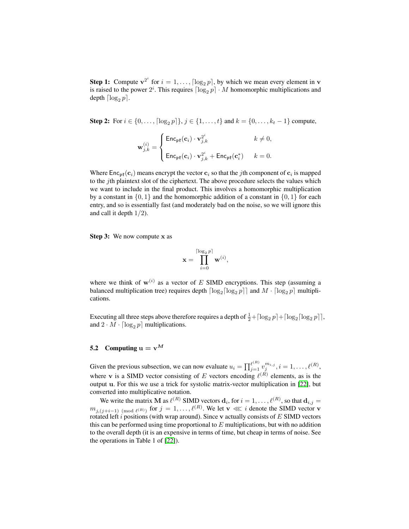**Step 1:** Compute  $\mathbf{v}^{2^i}$  for  $i = 1, ..., \lfloor \log_2 p \rfloor$ , by which we mean every element in  $\mathbf{v}$ is raised to the power  $2^i$ . This requires  $\lceil \log_2 p \rceil \cdot M$  homomorphic multiplications and depth  $\lceil \log_2 p \rceil$ .

Step 2: For  $i \in \{0, ..., \lceil \log_2 p \rceil\}, j \in \{1, ..., t\}$  and  $k = \{0, ..., k_t - 1\}$  compute,

$$
\mathbf{w}_{j,k}^{(i)} = \begin{cases} \mathsf{Enc}_{\mathfrak{pk}}(\mathbf{c}_i) \cdot \mathbf{v}_{j,k}^{2^i} & k \neq 0, \\ & \mathsf{Enc}_{\mathfrak{pk}}(\mathbf{c}_i) \cdot \mathbf{v}_{j,k}^{2^i} + \mathsf{Enc}_{\mathfrak{pk}}(\mathbf{c}_i^*) & k = 0. \end{cases}
$$

Where  $\mathsf{Enc}_{\mathfrak{pk}}(\mathbf{c}_i)$  means encrypt the vector  $\mathbf{c}_i$  so that the *j*th component of  $\mathbf{c}_i$  is mapped to the jth plaintext slot of the ciphertext. The above procedure selects the values which we want to include in the final product. This involves a homomorphic multiplication by a constant in  $\{0, 1\}$  and the homomorphic addition of a constant in  $\{0, 1\}$  for each entry, and so is essentially fast (and moderately bad on the noise, so we will ignore this and call it depth  $1/2$ ).

Step 3: We now compute x as

$$
\mathbf{x} = \prod_{i=0}^{\lceil \log_2 p \rceil} \mathbf{w}^{(i)},
$$

where we think of  $w^{(i)}$  as a vector of E SIMD encryptions. This step (assuming a balanced multiplication tree) requires depth  $\lceil \log_2 \lceil \log_2 p \rceil \rceil$  and  $M \cdot \lceil \log_2 p \rceil$  multiplications.

Executing all three steps above therefore requires a depth of  $\frac{1}{2} + \lceil \log_2 p \rceil + \lceil \log_2 \lceil \log_2 p \rceil \rceil$ , and  $2 \cdot M \cdot \lceil \log_2 p \rceil$  multiplications.

# 5.2 Computing  $u = v^M$

Given the previous subsection, we can now evaluate  $u_i = \prod_{j=1}^{\ell^{(R)}} v_j^{m_{i,j}}, i = 1, \ldots, \ell^{(R)},$ where **v** is a SIMD vector consisting of E vectors encoding  $\ell^{(R)}$  elements, as is the output u. For this we use a trick for systolic matrix-vector multiplication in [\[22\]](#page-17-14), but converted into multiplicative notation.

We write the matrix M as  $\ell^{(R)}$  SIMD vectors  $\mathbf{d}_i$ , for  $i = 1, \ldots, \ell^{(R)}$ , so that  $\mathbf{d}_{i,j} =$  $m_{j,(j+i-1) \pmod{ \ell^{(R)}}}$  for  $j = 1, \ldots, \ell^{(R)}$ . We let v ≪ i denote the SIMD vector v rotated left  $i$  positions (with wrap around). Since v actually consists of  $E$  SIMD vectors this can be performed using time proportional to  $E$  multiplications, but with no addition to the overall depth (it is an expensive in terms of time, but cheap in terms of noise. See the operations in Table 1 of [\[22\]](#page-17-14)).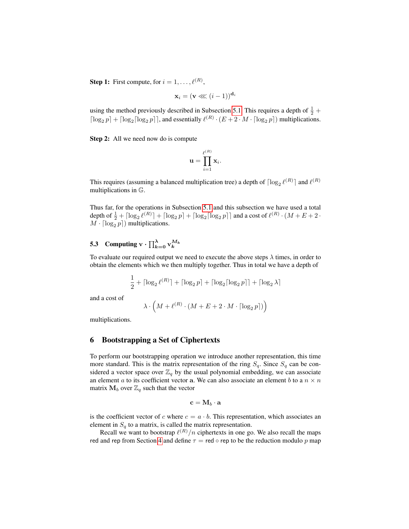**Step 1:** First compute, for  $i = 1, \ldots, \ell^{(R)}$ ,

$$
\mathbf{x}_i = (\mathbf{v} \lll (i-1))^{\mathbf{d}_i}
$$

using the method previously described in Subsection [5.1.](#page-9-1) This requires a depth of  $\frac{1}{2}$  +  $\lceil \log_2 p \rceil + \lceil \log_2 \lceil \log_2 p \rceil$ , and essentially  $\ell^{(R)} \cdot (E + 2 \cdot M \cdot \lceil \log_2 p \rceil)$  multiplications.

Step 2: All we need now do is compute

$$
\mathbf{u} = \prod_{i=1}^{\ell^{(R)}} \mathbf{x}_i.
$$

This requires (assuming a balanced multiplication tree) a depth of  $\lceil \log_2 \ell^{(R)} \rceil$  and  $\ell^{(R)}$ multiplications in G.

Thus far, for the operations in Subsection [5.1](#page-9-1) and this subsection we have used a total depth of  $\frac{1}{2} + \lceil \log_2 \ell^{(R)} \rceil + \lceil \log_2 p \rceil + \lceil \log_2 \lceil \log_2 p \rceil$  and a cost of  $\ell^{(R)} \cdot (M + E + 2 \cdot$  $M \cdot \lceil \log_2 p \rceil$ ) multiplications.

# **5.3** Computing  $\mathbf{v} \cdot \prod_{k=0}^{\lambda} \mathbf{v}_k^{M_k}$

To evaluate our required output we need to execute the above steps  $\lambda$  times, in order to obtain the elements which we then multiply together. Thus in total we have a depth of

$$
\frac{1}{2} + \lceil \log_2 \ell^{(R)} \rceil + \lceil \log_2 p \rceil + \lceil \log_2 \lceil \log_2 p \rceil + \lceil \log_2 \lambda \rceil
$$

and a cost of

$$
\lambda \cdot \left( M + \ell^{(R)} \cdot (M + E + 2 \cdot M \cdot \lceil \log_2 p \rceil ) \right)
$$

multiplications.

# <span id="page-11-0"></span>6 Bootstrapping a Set of Ciphertexts

To perform our bootstrapping operation we introduce another representation, this time more standard. This is the matrix representation of the ring  $S_a$ . Since  $S_a$  can be considered a vector space over  $\mathbb{Z}_q$  by the usual polynomial embedding, we can associate an element a to its coefficient vector a. We can also associate an element b to a  $n \times n$ matrix  $M_b$  over  $\mathbb{Z}_q$  such that the vector

$$
\mathbf{c} = \mathbf{M}_b \cdot \mathbf{a}
$$

is the coefficient vector of c where  $c = a \cdot b$ . This representation, which associates an element in  $S_q$  to a matrix, is called the matrix representation.

Recall we want to bootstrap  $\ell^{(R)}/n$  ciphertexts in one go. We also recall the maps red and rep from Section [4](#page-8-0) and define  $\tau$  = red  $\circ$  rep to be the reduction modulo p map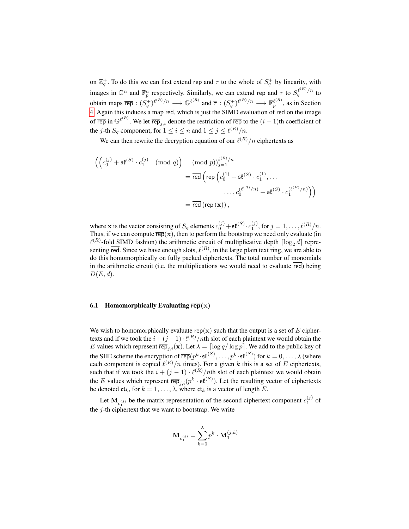on  $\mathbb{Z}_q^+$ . To do this we can first extend rep and  $\tau$  to the whole of  $S_q^+$  by linearity, with images in  $\mathbb{G}^n$  and  $\mathbb{F}_p^n$  respectively. Similarly, we can extend rep and  $\tau$  to  $S_q^{\ell^{(R)}/n}$  to obtain maps  $\overline{\mathsf{rep}}: (S^+_q)^{\ell^{(R)}/n} \longrightarrow \mathbb{G}^{\ell^{(R)}}$  and  $\overline{\tau}: (S^+_q)^{\ell^{(R)}/n} \longrightarrow \mathbb{F}_p^{\ell^{(R)}}$ , as in Section [4.](#page-8-0) Again this induces a map red, which is just the SIMD evaluation of red on the image of  $\overline{rep}$  in  $\mathbb{G}^{\ell^{(R)}}$ . We let  $\overline{rep}_{j,i}$  denote the restriction of  $\overline{rep}$  to the  $(i-1)$ th coefficient of the *j*-th  $S_q$  component, for  $1 \le i \le n$  and  $1 \le j \le \ell^{(R)}/n$ .

We can then rewrite the decryption equation of our  $\ell^{(R)}/n$  ciphertexts as

$$
\begin{aligned}\n&\left( \left( c_0^{(j)} + \mathfrak{s} \mathfrak{k}^{(S)} \cdot c_1^{(j)} \pmod{q} \right) \pmod{p} \right)_{j=1}^{\ell^{(R)}/n} \\
&= \overline{\mathsf{red}} \left( \overline{\mathsf{rep}} \left( c_0^{(1)} + \mathfrak{s} \mathfrak{k}^{(S)} \cdot c_1^{(1)}, \dots \right. \\
&\qquad \qquad \dots, c_0^{(\ell^{(R)}/n)} + \mathfrak{s} \mathfrak{k}^{(S)} \cdot c_1^{(\ell^{(R)}/n)} \right) \right) \\
&= \overline{\mathsf{red}} \left( \overline{\mathsf{rep}} \left( \mathbf{x} \right) \right),\n\end{aligned}
$$

where **x** is the vector consisting of  $S_q$  elements  $c_0^{(j)} + s \mathfrak{k}^{(S)} \cdot c_1^{(j)}$ , for  $j = 1, \ldots, \ell^{(R)}/n$ . Thus, if we can compute  $\overline{rep}(x)$ , then to perform the bootstrap we need only evaluate (in  $\ell^{(R)}$ -fold SIMD fashion) the arithmetic circuit of multiplicative depth  $\lceil \log_2 d \rceil$  representing red. Since we have enough slots,  $\ell^{(R)}$ , in the large plain text ring, we are able to do this homomorphically on fully packed ciphertexts. The total number of monomials in the arithmetic circuit (i.e. the multiplications we would need to evaluate red) being  $D(E, d)$ .

#### 6.1 Homomorphically Evaluating  $\overline{rep}(x)$

We wish to homomorphically evaluate  $\overline{rep}(x)$  such that the output is a set of E ciphertexts and if we took the  $i + (j - 1) \cdot \ell^{(R)}/n$ th slot of each plaintext we would obtain the E values which represent  $\overline{\text{rep}}_{i,i}(\mathbf{x})$ . Let  $\lambda = \lceil \log q / \log p \rceil$ . We add to the public key of the SHE scheme the encryption of  $\overline{\mathsf{rep}}(p^k\cdot\mathfrak{se}^{(S)},\ldots,p^k\cdot\mathfrak{se}^{(S)})$  for  $k=0,\ldots,\lambda$  (where each component is copied  $\ell^{(R)}/n$  times). For a given k this is a set of E ciphertexts, such that if we took the  $i + (j - 1) \cdot \ell^{(R)}/n$ th slot of each plaintext we would obtain the E values which represent  $\overline{rep}_{j,i}(p^k \cdot \mathfrak{s}(\mathfrak{k}^{(S)})$ . Let the resulting vector of ciphertexts be denoted  $\mathfrak{ct}_k$ , for  $k = 1, \ldots, \lambda$ , where  $\mathfrak{ct}_k$  is a vector of length E.

Let  $\mathbf{M}_{c_1^{(j)}}$  be the matrix representation of the second ciphertext component  $c_1^{(j)}$  of the *j*-th ciphertext that we want to bootstrap. We write

$$
\mathbf{M}_{c_1^{(j)}}=\sum_{k=0}^{\lambda}p^k\cdot \mathbf{M}_1^{(j,k)}
$$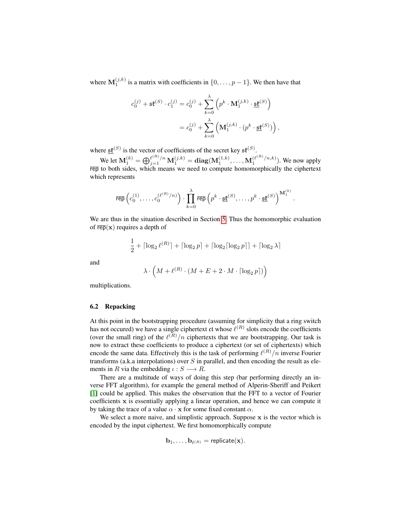where  $M_1^{(j,k)}$  is a matrix with coefficients in  $\{0, \ldots, p-1\}$ . We then have that

$$
c_0^{(j)} + \mathfrak{st}^{(S)} \cdot c_1^{(j)} = c_0^{(j)} + \sum_{k=0}^{\lambda} \left( p^k \cdot \mathbf{M}_1^{(j,k)} \cdot \underline{\mathfrak{st}}^{(S)} \right)
$$
  
=  $c_0^{(j)} + \sum_{k=0}^{\lambda} \left( \mathbf{M}_1^{(j,k)} \cdot (p^k \cdot \underline{\mathfrak{st}}^{(S)}) \right),$ 

where  $\underline{\mathfrak{se}}^{(S)}$  is the vector of coefficients of the secret key  $\mathfrak{se}^{(S)}$ .

We let  $\mathbf{M}_1^{(k)} = \bigoplus_{j=1}^{\ell^{(R)}/n} \mathbf{M}_1^{(j,k)} = \mathbf{diag}(\mathbf{M}_1^{(1,k)}, \dots, \mathbf{M}_1^{(\ell^{(R)}/n,k)}).$  We now apply rep to both sides, which means we need to compute homomorphically the ciphertext which represents

$$
\overline{\operatorname{rep}}\left(c_0^{(1)}, \dots, c_0^{(\ell^{(R)}/n)}\right) \cdot \prod_{k=0}^{\lambda} \overline{\operatorname{rep}}\left(p^k \cdot \underline{\mathfrak{st}}^{(S)}, \dots, p^k \cdot \underline{\mathfrak{st}}^{(S)}\right)^{\mathbf{M}_1^{(k)}}.
$$

We are thus in the situation described in Section [5.](#page-9-0) Thus the homomorphic evaluation of  $\overline{rep}(x)$  requires a depth of

$$
\frac{1}{2} + \lceil \log_2 \ell^{(R)} \rceil + \lceil \log_2 p \rceil + \lceil \log_2 \lceil \log_2 p \rceil + \lceil \log_2 \lambda \rceil
$$

and

$$
\lambda \cdot \Big( M + \ell^{(R)} \cdot \big( M + E + 2 \cdot M \cdot \lceil \log_2 p \rceil ) \Big)
$$

multiplications.

#### 6.2 Repacking

At this point in the bootstrapping procedure (assuming for simplicity that a ring switch has not occured) we have a single ciphertext ct whose  $\ell^{(R)}$  slots encode the coefficients (over the small ring) of the  $\ell^{(R)}/n$  ciphertexts that we are bootstrapping. Our task is now to extract these coefficients to produce a ciphertext (or set of ciphertexts) which encode the same data. Effectively this is the task of performing  $\ell^{(R)}/n$  inverse Fourier transforms (a.k.a interpolations) over  $S$  in parallel, and then encoding the result as elements in R via the embedding  $\iota : S \longrightarrow R$ .

There are a multitude of ways of doing this step (bar performing directly an inverse FFT algorithm), for example the general method of Alperin-Sheriff and Peikert [\[1\]](#page-16-0) could be applied. This makes the observation that the FFT to a vector of Fourier coefficients x is essentially applying a linear operation, and hence we can compute it by taking the trace of a value  $\alpha \cdot \mathbf{x}$  for some fixed constant  $\alpha$ .

We select a more naive, and simplistic approach. Suppose  $x$  is the vector which is encoded by the input ciphertext. We first homomorphically compute

$$
\mathbf{b}_1,\ldots,\mathbf{b}_{\ell^{(R)}}=\text{replicate}(\mathbf{x}).
$$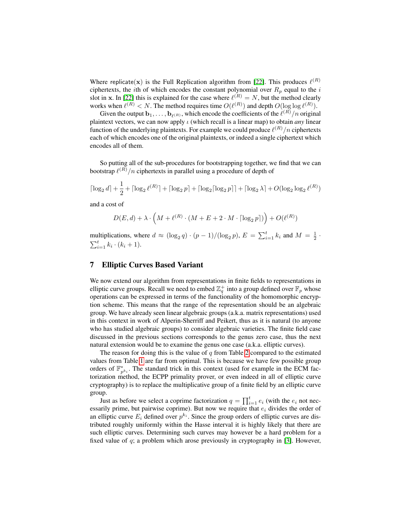Where replicate(x) is the Full Replication algorithm from [\[22\]](#page-17-14). This produces  $\ell^{(R)}$ ciphertexts, the *i*th of which encodes the constant polynomial over  $R_p$  equal to the *i* slot in x. In [\[22\]](#page-17-14) this is explained for the case where  $\ell^{(R)} = N$ , but the method clearly works when  $\ell^{(R)} < N$ . The method requires time  $O(\ell^{(R)})$  and depth  $O(\log \log \ell^{(R)})$ .

Given the output  $\mathbf{b}_1, \ldots, \mathbf{b}_{\ell^{(R)}}$ , which encode the coefficients of the  $\ell^{(R)}/n$  original plaintext vectors, we can now apply  $\iota$  (which recall is a linear map) to obtain *any* linear function of the underlying plaintexts. For example we could produce  $\ell^{(R)}/n$  ciphertexts each of which encodes one of the original plaintexts, or indeed a single ciphertext which encodes all of them.

So putting all of the sub-procedures for bootstrapping together, we find that we can bootstrap  $\ell^{(R)}/n$  ciphertexts in parallel using a procedure of depth of

 $\lceil \log_2 d \rceil + \frac{1}{2}$  $\frac{1}{2} + \lceil \log_2 \ell^{(R)} \rceil + \lceil \log_2 p \rceil + \lceil \log_2 \lceil \log_2 p \rceil + \lceil \log_2 \lambda \rceil + O(\log_2 \log_2 \ell^{(R)})$ 

and a cost of

$$
D(E,d) + \lambda \cdot \left( M + \ell^{(R)} \cdot (M + E + 2 \cdot M \cdot \lceil \log_2 p \rceil) \right) + O(\ell^{(R)})
$$

multiplications, where  $d \approx (\log_2 q) \cdot (p-1)/(\log_2 p)$ ,  $E = \sum_{i=1}^{t} k_i$  and  $M = \frac{1}{2}$ .  $\sum_{i=1}^{t} k_i \cdot (k_i + 1).$ 

# <span id="page-14-0"></span>7 Elliptic Curves Based Variant

We now extend our algorithm from representations in finite fields to representations in elliptic curve groups. Recall we need to embed  $\mathbb{Z}_q^+$  into a group defined over  $\mathbb{F}_p$  whose operations can be expressed in terms of the functionality of the homomorphic encryption scheme. This means that the range of the representation should be an algebraic group. We have already seen linear algebraic groups (a.k.a. matrix representations) used in this context in work of Alperin-Sherriff and Peikert, thus as it is natural (to anyone who has studied algebraic groups) to consider algebraic varieties. The finite field case discussed in the previous sections corresponds to the genus zero case, thus the next natural extension would be to examine the genus one case (a.k.a. elliptic curves).

The reason for doing this is the value of  $q$  from Table [2](#page-23-0) compared to the estimated values from Table [1](#page-23-1) are far from optimal. This is because we have few possible group orders of  $\mathbb{F}_{p^{k_i}}^*$ . The standard trick in this context (used for example in the ECM factorization method, the ECPP primality prover, or even indeed in all of elliptic curve cryptography) is to replace the multiplicative group of a finite field by an elliptic curve group.

Just as before we select a coprime factorization  $q = \prod_{i=1}^{t} e_i$  (with the  $e_i$  not necessarily prime, but pairwise coprime). But now we require that  $e_i$  divides the order of an elliptic curve  $E_i$  defined over  $p^{k_i}$ . Since the group orders of elliptic curves are distributed roughly uniformly within the Hasse interval it is highly likely that there are such elliptic curves. Determining such curves may however be a hard problem for a fixed value of  $q$ ; a problem which arose previously in cryptography in [\[3\]](#page-16-7). However,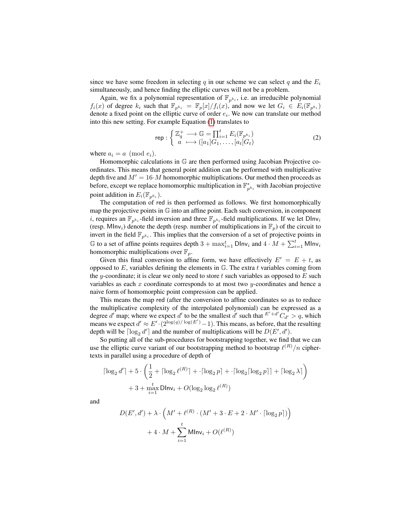since we have some freedom in selecting q in our scheme we can select q and the  $E_i$ simultaneously, and hence finding the elliptic curves will not be a problem.

Again, we fix a polynomial representation of  $\mathbb{F}_{p^{k_i}}$ , i.e. an irreducible polynomial  $f_i(x)$  of degree  $k_i$  such that  $\mathbb{F}_{p^{k_i}} = \mathbb{F}_p[x]/f_i(x)$ , and now we let  $G_i \in E_i(\mathbb{F}_{p^{k_i}})$ denote a fixed point on the elliptic curve of order  $e_i$ . We now can translate our method into this new setting. For example Equation [\(1\)](#page-8-1) translates to

$$
\operatorname{rep}: \left\{ \begin{array}{c} \mathbb{Z}_q^+ \longrightarrow \mathbb{G} = \prod_{i=1}^t E_i(\mathbb{F}_{p^{k_i}}) \\ a \longmapsto ([a_1]G_1, \dots, [a_t]G_t) \end{array} \right. \tag{2}
$$

where  $a_i = a \pmod{e_i}$ .

Homomorphic calculations in G are then performed using Jacobian Projective coordinates. This means that general point addition can be performed with multiplicative depth five and  $M' = 16 \cdot M$  homomorphic multiplications. Our method then proceeds as before, except we replace homomorphic multiplication in  $\mathbb{F}_{p^{k_i}}^*$  with Jacobian projective point addition in  $E_i(\mathbb{F}_{p^{k_i}})$ .

The computation of red is then performed as follows. We first homomorphically map the projective points in  $\mathbb G$  into an affine point. Each such conversion, in component *i*, requires an  $\mathbb{F}_{p^{k_i}}$ -field inversion and three  $\mathbb{F}_{p^{k_i}}$ -field multiplications. If we let DInv<sub>i</sub> (resp. MInv<sub>i</sub>) denote the depth (resp. number of multiplications in  $\mathbb{F}_p$ ) of the circuit to invert in the field  $\mathbb{F}_{p^{k_i}}$ . This implies that the conversion of a set of projective points in  $\mathbb G$  to a set of affine points requires depth  $3 + \max_{i=1}^t \text{DInv}_i$  and  $4 \cdot M + \sum_{i=1}^t \text{MIN}_i$ homomorphic multiplications over  $\mathbb{F}_p$ .

Given this final conversion to affine form, we have effectively  $E' = E + t$ , as opposed to  $E$ , variables defining the elements in  $\mathbb{G}$ . The extra t variables coming from the y-coordinate; it is clear we only need to store  $t$  such variables as opposed to  $E$  such variables as each x coordinate corresponds to at most two y-coordinates and hence a naive form of homomorphic point compression can be applied.

This means the map red (after the conversion to affine coordinates so as to reduce the multiplicative complexity of the interpolated polynomial) can be expressed as a degree d' map; where we expect d' to be the smallest d' such that  $E' + d' C_{d'} > q$ , which means we expect  $d' \approx E' \cdot (2^{\log(q)/\log(E')} - 1)$ . This means, as before, that the resulting depth will be  $\lceil \log_2 d' \rceil$  and the number of multiplications will be  $D(E', d')$ .

So putting all of the sub-procedures for bootstrapping together, we find that we can use the elliptic curve variant of our bootstrapping method to bootstrap  $\ell^{(R)}/n$  ciphertexts in parallel using a procedure of depth of

$$
\lceil \log_2 d' \rceil + 5 \cdot \left( \frac{1}{2} + \lceil \log_2 \ell^{(R)} \rceil + \cdot \lceil \log_2 p \rceil + \cdot \lceil \log_2 \lceil \log_2 p \rceil \rceil + \lceil \log_2 \lambda \rceil \right) + 3 + \max_{i=1}^{t} \text{DInv}_i + O(\log_2 \log_2 \ell^{(R)})
$$

and

$$
D(E', d') + \lambda \cdot \left( M' + \ell^{(R)} \cdot (M' + 3 \cdot E + 2 \cdot M' \cdot \lceil \log_2 p \rceil) \right)
$$

$$
+ 4 \cdot M + \sum_{i=1}^{t} \text{MInv}_i + O(\ell^{(R)})
$$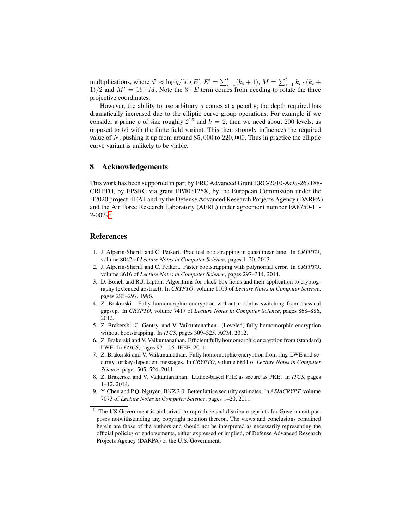multiplications, where  $d' \approx \log q / \log E'$ ,  $E' = \sum_{i=1}^{t} (k_i + 1)$ ,  $M = \sum_{i=1}^{t} k_i \cdot (k_i + 1)$ 1)/2 and  $M' = 16 \cdot M$ . Note the  $3 \cdot E$  term comes from needing to rotate the three projective coordinates.

However, the ability to use arbitrary  $q$  comes at a penalty; the depth required has dramatically increased due to the elliptic curve group operations. For example if we consider a prime p of size roughly  $2^{16}$  and  $k = 2$ , then we need about 200 levels, as opposed to 56 with the finite field variant. This then strongly influences the required value of N, pushing it up from around  $85,000$  to  $220,000$ . Thus in practice the elliptic curve variant is unlikely to be viable.

## 8 Acknowledgements

This work has been supported in part by ERC Advanced Grant ERC-2010-AdG-267188- CRIPTO, by EPSRC via grant EP/I03126X, by the European Commission under the H2020 project HEAT and by the Defense Advanced Research Projects Agency (DARPA) and the Air Force Research Laboratory (AFRL) under agreement number FA8750-11-  $2-0079^1$  $2-0079^1$ .

## References

- <span id="page-16-0"></span>1. J. Alperin-Sheriff and C. Peikert. Practical bootstrapping in quasilinear time. In *CRYPTO*, volume 8042 of *Lecture Notes in Computer Science*, pages 1–20, 2013.
- <span id="page-16-1"></span>2. J. Alperin-Sheriff and C. Peikert. Faster bootstrapping with polynomial error. In *CRYPTO*, volume 8616 of *Lecture Notes in Computer Science*, pages 297–314, 2014.
- <span id="page-16-7"></span>3. D. Boneh and R.J. Lipton. Algorithms for black-box fields and their application to cryptography (extended abstract). In *CRYPTO*, volume 1109 of *Lecture Notes in Computer Science*, pages 283–297, 1996.
- <span id="page-16-2"></span>4. Z. Brakerski. Fully homomorphic encryption without modulus switching from classical gapsvp. In *CRYPTO*, volume 7417 of *Lecture Notes in Computer Science*, pages 868–886, 2012.
- <span id="page-16-6"></span>5. Z. Brakerski, C. Gentry, and V. Vaikuntanathan. (Leveled) fully homomorphic encryption without bootstrapping. In *ITCS*, pages 309–325. ACM, 2012.
- <span id="page-16-3"></span>6. Z. Brakerski and V. Vaikuntanathan. Efficient fully homomorphic encryption from (standard) LWE. In *FOCS*, pages 97–106. IEEE, 2011.
- <span id="page-16-4"></span>7. Z. Brakerski and V. Vaikuntanathan. Fully homomorphic encryption from ring-LWE and security for key dependent messages. In *CRYPTO*, volume 6841 of *Lecture Notes in Computer Science*, pages 505–524, 2011.
- <span id="page-16-5"></span>8. Z. Brakerski and V. Vaikuntanathan. Lattice-based FHE as secure as PKE. In *ITCS*, pages 1–12, 2014.
- <span id="page-16-9"></span>9. Y. Chen and P.Q. Nguyen. BKZ 2.0: Better lattice security estimates. In *ASIACRYPT*, volume 7073 of *Lecture Notes in Computer Science*, pages 1–20, 2011.

<span id="page-16-8"></span><sup>&</sup>lt;sup>1</sup> The US Government is authorized to reproduce and distribute reprints for Government purposes notwithstanding any copyright notation thereon. The views and conclusions contained herein are those of the authors and should not be interpreted as necessarily representing the official policies or endorsements, either expressed or implied, of Defense Advanced Research Projects Agency (DARPA) or the U.S. Government.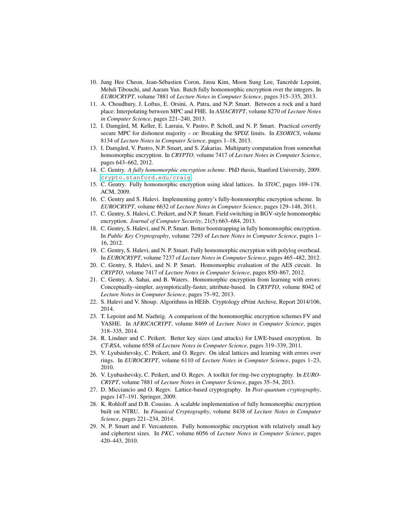- <span id="page-17-2"></span>10. Jung Hee Cheon, Jean-Sébastien Coron, Jinsu Kim, Moon Sung Lee, Tancrède Lepoint, Mehdi Tibouchi, and Aaram Yun. Batch fully homomorphic encryption over the integers. In *EUROCRYPT*, volume 7881 of *Lecture Notes in Computer Science*, pages 315–335, 2013.
- <span id="page-17-16"></span>11. A. Choudhury, J. Loftus, E. Orsini, A. Patra, and N.P. Smart. Between a rock and a hard place: Interpolating between MPC and FHE. In *ASIACRYPT*, volume 8270 of *Lecture Notes in Computer Science*, pages 221–240, 2013.
- <span id="page-17-15"></span>12. I. Damgård, M. Keller, E. Larraia, V. Pastro, P. Scholl, and N. P. Smart. Practical covertly secure MPC for dishonest majority – or: Breaking the SPDZ limits. In *ESORICS*, volume 8134 of *Lecture Notes in Computer Science*, pages 1–18, 2013.
- <span id="page-17-12"></span>13. I. Damgård, V. Pastro, N.P. Smart, and S. Zakarias. Multiparty computation from somewhat homomorphic encryption. In *CRYPTO*, volume 7417 of *Lecture Notes in Computer Science*, pages 643–662, 2012.
- <span id="page-17-0"></span>14. C. Gentry. *A fully homomorphic encryption scheme*. PhD thesis, Stanford University, 2009. <crypto.stanford.edu/craig>.
- <span id="page-17-1"></span>15. C. Gentry. Fully homomorphic encryption using ideal lattices. In *STOC*, pages 169–178. ACM, 2009.
- <span id="page-17-6"></span>16. C. Gentry and S. Halevi. Implementing gentry's fully-homomorphic encryption scheme. In *EUROCRYPT*, volume 6632 of *Lecture Notes in Computer Science*, pages 129–148, 2011.
- <span id="page-17-8"></span>17. C. Gentry, S. Halevi, C. Peikert, and N.P. Smart. Field switching in BGV-style homomorphic encryption. *Journal of Computer Security*, 21(5):663–684, 2013.
- <span id="page-17-3"></span>18. C. Gentry, S. Halevi, and N. P. Smart. Better bootstrapping in fully homomorphic encryption. In *Public Key Cryptography*, volume 7293 of *Lecture Notes in Computer Science*, pages 1– 16, 2012.
- <span id="page-17-4"></span>19. C. Gentry, S. Halevi, and N. P. Smart. Fully homomorphic encryption with polylog overhead. In *EUROCRYPT*, volume 7237 of *Lecture Notes in Computer Science*, pages 465–482, 2012.
- <span id="page-17-11"></span>20. C. Gentry, S. Halevi, and N. P. Smart. Homomorphic evaluation of the AES circuit. In *CRYPTO*, volume 7417 of *Lecture Notes in Computer Science*, pages 850–867, 2012.
- <span id="page-17-10"></span>21. C. Gentry, A. Sahai, and B. Waters. Homomorphic encryption from learning with errors: Conceptually-simpler, asymptotically-faster, attribute-based. In *CRYPTO*, volume 8042 of *Lecture Notes in Computer Science*, pages 75–92, 2013.
- <span id="page-17-14"></span>22. S. Halevi and V. Shoup. Algorithms in HElib. Cryptology ePrint Archive, Report 2014/106, 2014.
- <span id="page-17-17"></span>23. T. Lepoint and M. Naehrig. A comparison of the homomorphic encryption schemes FV and YASHE. In *AFRICACRYPT*, volume 8469 of *Lecture Notes in Computer Science*, pages 318–335, 2014.
- <span id="page-17-18"></span>24. R. Lindner and C. Peikert. Better key sizes (and attacks) for LWE-based encryption. In *CT-RSA*, volume 6558 of *Lecture Notes in Computer Science*, pages 319–339, 2011.
- <span id="page-17-5"></span>25. V. Lyubashevsky, C. Peikert, and O. Regev. On ideal lattices and learning with errors over rings. In *EUROCRYPT*, volume 6110 of *Lecture Notes in Computer Science*, pages 1–23, 2010.
- <span id="page-17-13"></span>26. V. Lyubashevsky, C. Peikert, and O. Regev. A toolkit for ring-lwe cryptography. In *EURO-CRYPT*, volume 7881 of *Lecture Notes in Computer Science*, pages 35–54, 2013.
- <span id="page-17-19"></span>27. D. Micciancio and O. Regev. Lattice-based cryptography. In *Post-quantum cryptography*, pages 147–191. Springer, 2009.
- <span id="page-17-9"></span>28. K. Rohloff and D.B. Cousins. A scalable implementation of fully homomorphic encryption built on NTRU. In *Finanical Cryptography*, volume 8438 of *Lecture Notes in Computer Science*, pages 221–234, 2014.
- <span id="page-17-7"></span>29. N. P. Smart and F. Vercauteren. Fully homomorphic encryption with relatively small key and ciphertext sizes. In *PKC*, volume 6056 of *Lecture Notes in Computer Science*, pages 420–443, 2010.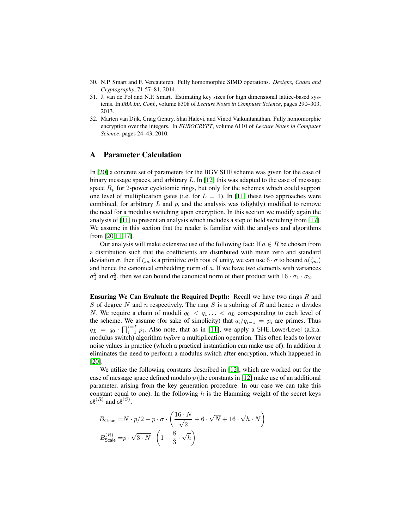- <span id="page-18-1"></span>30. N.P. Smart and F. Vercauteren. Fully homomorphic SIMD operations. *Designs, Codes and Cryptography*, 71:57–81, 2014.
- <span id="page-18-2"></span>31. J. van de Pol and N.P. Smart. Estimating key sizes for high dimensional lattice-based systems. In *IMA Int. Conf.*, volume 8308 of *Lecture Notes in Computer Science*, pages 290–303, 2013.
- <span id="page-18-0"></span>32. Marten van Dijk, Craig Gentry, Shai Halevi, and Vinod Vaikuntanathan. Fully homomorphic encryption over the integers. In *EUROCRYPT*, volume 6110 of *Lecture Notes in Computer Science*, pages 24–43, 2010.

# <span id="page-18-3"></span>A Parameter Calculation

In [\[20\]](#page-17-11) a concrete set of parameters for the BGV SHE scheme was given for the case of binary message spaces, and arbitrary  $L$ . In [\[12\]](#page-17-15) this was adapted to the case of message space  $R_p$  for 2-power cyclotomic rings, but only for the schemes which could support one level of multiplication gates (i.e. for  $L = 1$ ). In [\[11\]](#page-17-16) these two approaches were combined, for arbitrary  $L$  and  $p$ , and the analysis was (slightly) modified to remove the need for a modulus switching upon encryption. In this section we modify again the analysis of [\[11\]](#page-17-16) to present an analysis which includes a step of field switching from [\[17\]](#page-17-8). We assume in this section that the reader is familiar with the analysis and algorithms from [\[20](#page-17-11)[,11](#page-17-16)[,17\]](#page-17-8).

Our analysis will make extensive use of the following fact: If  $a \in R$  be chosen from a distribution such that the coefficients are distributed with mean zero and standard deviation  $\sigma$ , then if  $\zeta_m$  is a primitive mth root of unity, we can use  $6 \cdot \sigma$  to bound  $a(\zeta_m)$ and hence the canonical embedding norm of  $a$ . If we have two elements with variances  $\sigma_1^2$  and  $\sigma_2^2$ , then we can bound the canonical norm of their product with  $16 \cdot \sigma_1 \cdot \sigma_2$ .

**Ensuring We Can Evaluate the Required Depth:** Recall we have two rings  $R$  and S of degree N and n respectively. The ring S is a subring of R and hence n divides N. We require a chain of moduli  $q_0 < q_1 \ldots < q_L$  corresponding to each level of the scheme. We assume (for sake of simplicity) that  $q_i/q_{i-1} = p_i$  are primes. Thus  $q_L = q_0 \cdot \prod_{i=1}^{i=L} p_i$ . Also note, that as in [\[11\]](#page-17-16), we apply a SHE. LowerLevel (a.k.a. modulus switch) algorithm *before* a multiplication operation. This often leads to lower noise values in practice (which a practical instantiation can make use of). In addition it eliminates the need to perform a modulus switch after encryption, which happened in [\[20\]](#page-17-11).

We utilize the following constants described in [\[12\]](#page-17-15), which are worked out for the case of message space defined modulo  $p$  (the constants in [\[12\]](#page-17-15) make use of an additional parameter, arising from the key generation procedure. In our case we can take this constant equal to one). In the following  $h$  is the Hamming weight of the secret keys  $\mathfrak{st}^{(R)}$  and  $\mathfrak{st}^{(S)}$ .

$$
B_{\text{Clean}} = N \cdot p/2 + p \cdot \sigma \cdot \left(\frac{16 \cdot N}{\sqrt{2}} + 6 \cdot \sqrt{N} + 16 \cdot \sqrt{h \cdot N}\right)
$$
  

$$
B_{\text{Scale}}^{(R)} = p \cdot \sqrt{3 \cdot N} \cdot \left(1 + \frac{8}{3} \cdot \sqrt{h}\right)
$$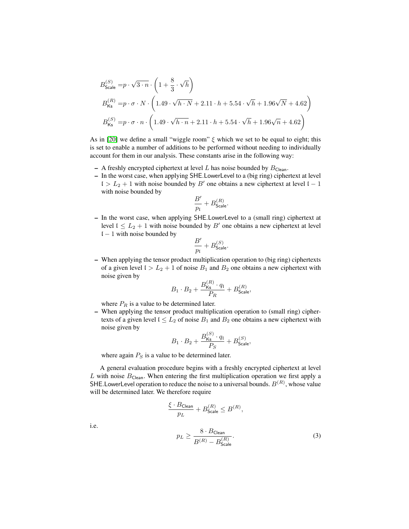$$
B_{\text{Scale}}^{(S)} = p \cdot \sqrt{3 \cdot n} \cdot \left( 1 + \frac{8}{3} \cdot \sqrt{h} \right)
$$
  
\n
$$
B_{\text{Ks}}^{(R)} = p \cdot \sigma \cdot N \cdot \left( 1.49 \cdot \sqrt{h \cdot N} + 2.11 \cdot h + 5.54 \cdot \sqrt{h} + 1.96 \sqrt{N} + 4.62 \right)
$$
  
\n
$$
B_{\text{Ks}}^{(S)} = p \cdot \sigma \cdot n \cdot \left( 1.49 \cdot \sqrt{h \cdot n} + 2.11 \cdot h + 5.54 \cdot \sqrt{h} + 1.96 \sqrt{n} + 4.62 \right)
$$

As in [\[20\]](#page-17-11) we define a small "wiggle room"  $\xi$  which we set to be equal to eight; this is set to enable a number of additions to be performed without needing to individually account for them in our analysis. These constants arise in the following way:

- A freshly encrypted ciphertext at level L has noise bounded by  $B_{\text{Clean}}$ .
- In the worst case, when applying SHE.LowerLevel to a (big ring) ciphertext at level  $l > L_2 + 1$  with noise bounded by B' one obtains a new ciphertext at level  $l - 1$ with noise bounded by

$$
\frac{B'}{p_{\mathfrak{l}}} + B_{\mathsf{Scale}}^{(R)}.
$$

– In the worst case, when applying SHE.LowerLevel to a (small ring) ciphertext at level  $1 \leq L_2 + 1$  with noise bounded by B' one obtains a new ciphertext at level  $l - 1$  with noise bounded by

$$
\frac{B'}{p_{\rm I}}+B_{\rm Scale}^{(S)}.
$$

– When applying the tensor product multiplication operation to (big ring) ciphertexts of a given level  $l > L_2 + 1$  of noise  $B_1$  and  $B_2$  one obtains a new ciphertext with noise given by  $(5)$ 

$$
B_1 \cdot B_2 + \frac{B_{\text{Ks}}^{(R)} \cdot q_{\text{I}}}{P_R} + B_{\text{Scale}}^{(R)},
$$

where  $P_R$  is a value to be determined later.

– When applying the tensor product multiplication operation to (small ring) ciphertexts of a given level  $1 \leq L_2$  of noise  $B_1$  and  $B_2$  one obtains a new ciphertext with noise given by

$$
B_1\cdot B_2+\frac{B^{(S)}_{\rm Ks}\cdot q_{\rm I}}{P_S}+B^{(S)}_{\rm Scale},
$$

where again  $P_S$  is a value to be determined later.

A general evaluation procedure begins with a freshly encrypted ciphertext at level  $L$  with noise  $B_{\text{Clean}}$ . When entering the first multiplication operation we first apply a SHE. Lower Level operation to reduce the noise to a universal bounds.  $B^{(R)}$ , whose value will be determined later. We therefore require

<span id="page-19-0"></span>
$$
\frac{\xi \cdot B_{\text{Clean}}}{p_L} + B_{\text{Scale}}^{(R)} \le B^{(R)},
$$
  

$$
p_L \ge \frac{8 \cdot B_{\text{Clean}}}{B^{(R)} - B_{\text{Scale}}^{(R)}}.
$$
 (3)

i.e.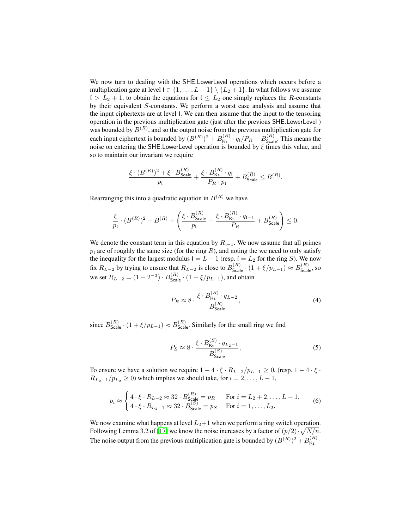We now turn to dealing with the SHE.LowerLevel operations which occurs before a multiplication gate at level  $l \in \{1, \ldots, L-1\} \setminus \{L_2+1\}$ . In what follows we assume  $l > L_2 + 1$ , to obtain the equations for  $l \leq L_2$  one simply replaces the R-constants by their equivalent S-constants. We perform a worst case analysis and assume that the input ciphertexts are at level l. We can then assume that the input to the tensoring operation in the previous multiplication gate (just after the previous SHE.LowerLevel ) was bounded by  $B^{(R)}$ , and so the output noise from the previous multiplication gate for each input ciphertext is bounded by  $(B^{(R)})^2 + B^{(R)}_{\text{Ks}} \cdot q_1/P_R + B^{(R)}_{\text{Scale}}$ . This means the noise on entering the SHE. LowerLevel operation is bounded by  $\xi$  times this value, and so to maintain our invariant we require

$$
\frac{\xi \cdot (B^{(R)})^2 + \xi \cdot B_{\text{Scale}}^{(R)}}{p_{\text{I}}} + \frac{\xi \cdot B_{\text{Ks}}^{(R)} \cdot q_{\text{I}}}{P_R \cdot p_{\text{I}}} + B_{\text{Scale}}^{(R)} \leq B^{(R)}.
$$

Rearranging this into a quadratic equation in  $B^{(R)}$  we have

$$
\frac{\xi}{p_{\rm I}} \cdot (B^{(R)})^2 - B^{(R)} + \left( \frac{\xi \cdot B_{\rm Scale}^{(R)}}{p_{\rm I}} + \frac{\xi \cdot B_{\rm Ks}^{(R)} \cdot q_{\rm I-1}}{P_R} + B_{\rm Scale}^{(R)} \right) \leq 0.
$$

We denote the constant term in this equation by  $R_{l-1}$ . We now assume that all primes  $p_l$  are of roughly the same size (for the ring R), and noting the we need to only satisfy the inequality for the largest modulus  $l = L - 1$  (resp.  $l = L_2$  for the ring S). We now fix  $R_{L-2}$  by trying to ensure that  $R_{L-2}$  is close to  $B_{\text{Scale}}^{(R)} \cdot (1 + \xi/p_{L-1}) \approx B_{\text{Scale}}^{(R)}$ , so we set  $R_{L-2} = (1 - 2^{-3}) \cdot B_{\text{Scale}}^{(R)} \cdot (1 + \xi / p_{L-1}),$  and obtain

<span id="page-20-0"></span>
$$
P_R \approx 8 \cdot \frac{\xi \cdot B_{\text{Ks}}^{(R)} \cdot q_{L-2}}{B_{\text{Scale}}^{(R)}},\tag{4}
$$

since  $B_{\text{Scale}}^{(R)} \cdot (1 + \xi/p_{L-1}) \approx B_{\text{Scale}}^{(R)}$ . Similarly for the small ring we find

<span id="page-20-1"></span>
$$
P_S \approx 8 \cdot \frac{\xi \cdot B_{\text{Ks}}^{(S)} \cdot q_{L_2 - 1}}{B_{\text{Scale}}^{(S)}},\tag{5}
$$

To ensure we have a solution we require  $1 - 4 \cdot \xi \cdot R_{L-2}/p_{L-1} \ge 0$ , (resp.  $1 - 4 \cdot \xi \cdot R_{L-2}/p_{L-1}$  $R_{L_2-1}/p_{L_2} \geq 0$ ) which implies we should take, for  $i = 2, \ldots, L-1$ ,

<span id="page-20-2"></span>
$$
p_i \approx \begin{cases} 4 \cdot \xi \cdot R_{L-2} \approx 32 \cdot B_{\text{Scale}}^{(R)} = p_R & \text{For } i = L_2 + 2, ..., L - 1, \\ 4 \cdot \xi \cdot R_{L_2 - 1} \approx 32 \cdot B_{\text{Scale}}^{(S)} = p_S & \text{For } i = 1, ..., L_2. \end{cases}
$$
(6)

We now examine what happens at level  $L_2+1$  when we perform a ring switch operation. Following Lemma 3.2 of [\[17\]](#page-17-8) we know the noise increases by a factor of  $\left(\frac{p}{2}\right) \cdot \sqrt{N/n}$ . The noise output from the previous multiplication gate is bounded by  $(B^{(R)})^2 + B^{(R)}_{\text{Ks}}$ .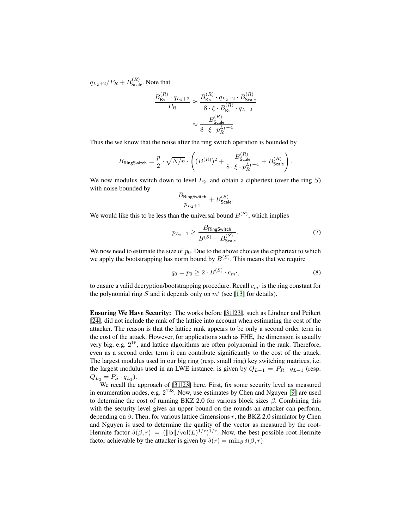$q_{L_2+2}/P_R + B_{\text{Scale}}^{(R)}$ . Note that

$$
\frac{B_{\text{Ks}}^{(R)} \cdot q_{L_2+2}}{P_R} \approx \frac{B_{\text{Ks}}^{(R)} \cdot q_{L_2+2} \cdot B_{\text{Scale}}^{(R)}}{8 \cdot \xi \cdot B_{\text{Ks}}^{(R)} \cdot q_{L-2}}
$$

$$
\approx \frac{B_{\text{Scale}}^{(R)}}{8 \cdot \xi \cdot p_R^{L_1-4}}
$$

Thus the we know that the noise after the ring switch operation is bounded by

$$
B_{\text{RingSwitch}} = \frac{p}{2} \cdot \sqrt{N/n} \cdot \left( (B^{(R)})^2 + \frac{B_{\text{Scale}}^{(R)}}{8 \cdot \xi \cdot p_R^{L_1-4}} + B_{\text{Scale}}^{(R)} \right).
$$

We now modulus switch down to level  $L_2$ , and obtain a ciphertext (over the ring S) with noise bounded by

$$
\frac{B_{\text{RingSwitch}}}{p_{L_2+1}} + B_{\text{Scale}}^{(S)}.
$$

We would like this to be less than the universal bound  $B^{(S)}$ , which implies

<span id="page-21-0"></span>
$$
p_{L_2+1} \ge \frac{B_{\text{RingSwitch}}}{B^{(S)} - B_{\text{Scale}}^{(S)}}.\tag{7}
$$

We now need to estimate the size of  $p_0$ . Due to the above choices the ciphertext to which we apply the bootstrapping has norm bound by  $B^{(S)}$ . This means that we require

<span id="page-21-1"></span>
$$
q_0 = p_0 \ge 2 \cdot B^{(S)} \cdot c_{m'},\tag{8}
$$

to ensure a valid decryption/bootstrapping procedure. Recall  $c_{m'}$  is the ring constant for the polynomial ring S and it depends only on  $m'$  (see [\[13\]](#page-17-12) for details).

Ensuring We Have Security: The works before [\[31,](#page-18-2)[23\]](#page-17-17), such as Lindner and Peikert [\[24\]](#page-17-18), did not include the rank of the lattice into account when estimating the cost of the attacker. The reason is that the lattice rank appears to be only a second order term in the cost of the attack. However, for applications such as FHE, the dimension is usually very big, e.g.  $2^{16}$ , and lattice algorithms are often polynomial in the rank. Therefore, even as a second order term it can contribute significantly to the cost of the attack. The largest modulus used in our big ring (resp. small ring) key switching matrices, i.e. the largest modulus used in an LWE instance, is given by  $Q_{L-1} = P_R \cdot q_{L-1}$  (resp.  $Q_{L_2} = P_S \cdot q_{L_2}$ .

We recall the approach of  $[31,23]$  $[31,23]$  here. First, fix some security level as measured in enumeration nodes, e.g.  $2^{128}$ . Now, use estimates by Chen and Nguyen [\[9\]](#page-16-9) are used to determine the cost of running BKZ 2.0 for various block sizes  $\beta$ . Combining this with the security level gives an upper bound on the rounds an attacker can perform, depending on  $\beta$ . Then, for various lattice dimensions r, the BKZ 2.0 simulator by Chen and Nguyen is used to determine the quality of the vector as measured by the root-Hermite factor  $\delta(\beta, r) = (||\mathbf{b}||/\text{vol}(L)^{1/r})^{1/r}$ . Now, the best possible root-Hermite factor achievable by the attacker is given by  $\delta(r) = \min_{\beta} \delta(\beta, r)$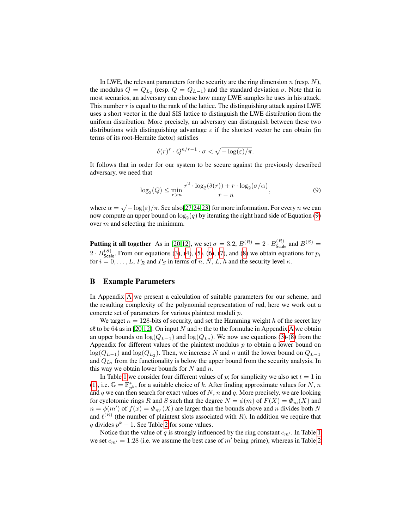In LWE, the relevant parameters for the security are the ring dimension  $n$  (resp.  $N$ ), the modulus  $Q = Q_{L_2}$  (resp.  $Q = Q_{L-1}$ ) and the standard deviation  $\sigma$ . Note that in most scenarios, an adversary can choose how many LWE samples he uses in his attack. This number  $r$  is equal to the rank of the lattice. The distinguishing attack against LWE uses a short vector in the dual SIS lattice to distinguish the LWE distribution from the uniform distribution. More precisely, an adversary can distinguish between these two distributions with distinguishing advantage  $\varepsilon$  if the shortest vector he can obtain (in terms of its root-Hermite factor) satisfies

<span id="page-22-0"></span>
$$
\delta(r)^r \cdot Q^{n/r-1} \cdot \sigma < \sqrt{-\log(\varepsilon)/\pi}.
$$

It follows that in order for our system to be secure against the previously described adversary, we need that

$$
\log_2(Q) \le \min_{r>n} \frac{r^2 \cdot \log_2(\delta(r)) + r \cdot \log_2(\sigma/\alpha)}{r - n},\tag{9}
$$

where  $\alpha = \sqrt{-\log(\varepsilon)/\pi}$ . See also[\[27](#page-17-19)[,24](#page-17-18)[,23\]](#page-17-17) for more information. For every n we can now compute an upper bound on  $\log_2(q)$  by iterating the right hand side of Equation [\(9\)](#page-22-0) over m and selecting the minimum.

**Putting it all together** As in [\[20](#page-17-11)[,12\]](#page-17-15), we set  $\sigma = 3.2$ ,  $B^{(R)} = 2 \cdot B_{\text{Scale}}^{(R)}$  and  $B^{(S)} =$  $2 \cdot B_{\text{Scale}}^{(S)}$ . From our equations [\(3\)](#page-19-0), [\(4\)](#page-20-0), [\(5\)](#page-20-1), [\(6\)](#page-20-2), [\(7\)](#page-21-0), and [\(8\)](#page-21-1) we obtain equations for  $p_i$ for  $i = 0, \ldots, L$ ,  $P_R$  and  $P_S$  in terms of n, N, L, h and the security level  $\kappa$ .

#### B Example Parameters

In Appendix [A](#page-18-3) we present a calculation of suitable parameters for our scheme, and the resulting complexity of the polynomial representation of red, here we work out a concrete set of parameters for various plaintext moduli p.

We target  $\kappa = 128$ -bits of security, and set the Hamming weight h of the secret key st to be 64 as in [\[20,](#page-17-11)[12\]](#page-17-15). On input N and n the to the formulae in [A](#page-18-3)ppendix A we obtain an upper bounds on  $\log(Q_{L-1})$  and  $\log(Q_{L_2})$ . We now use equations [\(3\)](#page-19-0)-[\(8\)](#page-21-1) from the Appendix for different values of the plaintext modulus  $p$  to obtain a lower bound on  $log(Q_{L-1})$  and  $log(Q_{L_2})$ . Then, we increase N and n until the lower bound on  $Q_{L-1}$ and  $Q_{L_2}$  from the functionality is below the upper bound from the security analysis. In this way we obtain lower bounds for  $N$  and  $n$ .

In Table [1](#page-23-1) we consider four different values of p; for simplicity we also set  $t = 1$  in [\(1\)](#page-8-1), i.e.  $\mathbb{G} = \mathbb{F}_{p^k}^*$ , for a suitable choice of k. After finding approximate values for N, n and q we can then search for exact values of N, n and q. More precisely, we are looking for cyclotomic rings R and S such that the degree  $N = \phi(m)$  of  $F(X) = \Phi_m(X)$  and  $n = \phi(m')$  of  $f(x) = \Phi_{m'}(X)$  are larger than the bounds above and n divides both N and  $\ell^{(R)}$  (the number of plaintext slots associated with R). In addition we require that q divides  $p^k - 1$ . See Table [2](#page-23-0) for some values.

Notice that the value of q is strongly influenced by the ring constant  $c_{m'}$ . In Table [1](#page-23-1) we set  $c_{m'} = 1.28$  (i.e. we assume the best case of m' being prime), whereas in Table [2](#page-23-0)